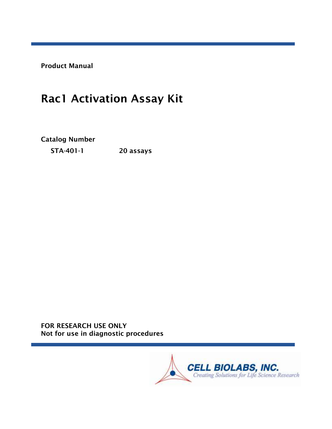Product Manual

# Rac1 Activation Assay Kit

Catalog Number

STA-401-1 20 assays

FOR RESEARCH USE ONLY Not for use in diagnostic procedures

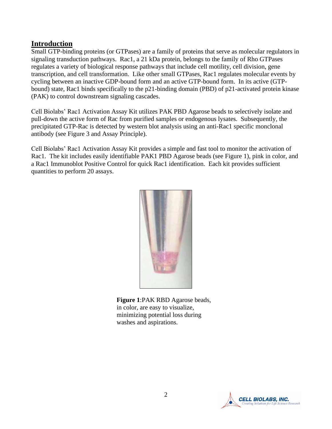#### **Introduction**

Small GTP-binding proteins (or GTPases) are a family of proteins that serve as molecular regulators in signaling transduction pathways. Rac1, a 21 kDa protein, belongs to the family of Rho GTPases regulates a variety of biological response pathways that include cell motility, cell division, gene transcription, and cell transformation. Like other small GTPases, Rac1 regulates molecular events by cycling between an inactive GDP-bound form and an active GTP-bound form. In its active (GTPbound) state, Rac1 binds specifically to the p21-binding domain (PBD) of p21-activated protein kinase (PAK) to control downstream signaling cascades.

Cell Biolabs' Rac1 Activation Assay Kit utilizes PAK PBD Agarose beads to selectively isolate and pull-down the active form of Rac from purified samples or endogenous lysates. Subsequently, the precipitated GTP-Rac is detected by western blot analysis using an anti-Rac1 specific monclonal antibody (see Figure 3 and Assay Principle).

Cell Biolabs' Rac1 Activation Assay Kit provides a simple and fast tool to monitor the activation of Rac1. The kit includes easily identifiable PAK1 PBD Agarose beads (see Figure 1), pink in color, and a Rac1 Immunoblot Positive Control for quick Rac1 identification. Each kit provides sufficient quantities to perform 20 assays.



**Figure 1**:PAK RBD Agarose beads, in color, are easy to visualize, minimizing potential loss during washes and aspirations.

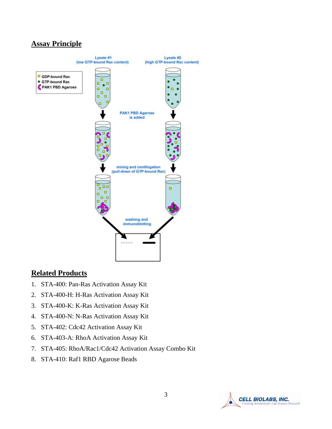# **Assay Principle**



#### **Related Products**

- 1. STA-400: Pan-Ras Activation Assay Kit
- 2. STA-400-H: H-Ras Activation Assay Kit
- 3. STA-400-K: K-Ras Activation Assay Kit
- 4. STA-400-N: N-Ras Activation Assay Kit
- 5. STA-402: Cdc42 Activation Assay Kit
- 6. STA-403-A: RhoA Activation Assay Kit
- 7. STA-405: RhoA/Rac1/Cdc42 Activation Assay Combo Kit
- 8. STA-410: Raf1 RBD Agarose Beads

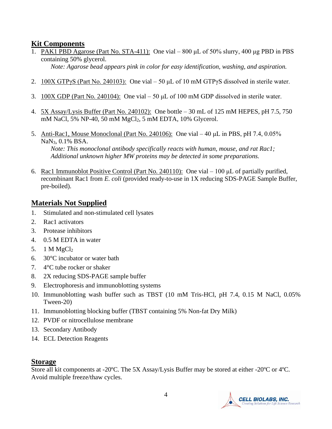## **Kit Components**

1. PAK1 PBD Agarose (Part No. STA-411): One vial – 800 μL of 50% slurry, 400 μg PBD in PBS containing 50% glycerol.

*Note: Agarose bead appears pink in color for easy identification, washing, and aspiration.*

- 2.  $100X GTPyS$  (Part No. 240103): One vial 50 µL of 10 mM GTPyS dissolved in sterile water.
- 3. 100X GDP (Part No. 240104): One vial  $-50 \mu L$  of 100 mM GDP dissolved in sterile water.
- 4. 5X Assay/Lysis Buffer (Part No. 240102): One bottle 30 mL of 125 mM HEPES, pH 7.5, 750 mM NaCl, 5% NP-40, 50 mM MgCl2, 5 mM EDTA, 10% Glycerol.
- 5. Anti-Rac1, Mouse Monoclonal (Part No. 240106): One vial 40 μL in PBS, pH 7.4, 0.05% NaN3, 0.1% BSA.

*Note: This monoclonal antibody specifically reacts with human, mouse, and rat Rac1; Additional unknown higher MW proteins may be detected in some preparations.*

6. Rac1 Immunoblot Positive Control (Part No. 240110): One vial – 100 μL of partially purified, recombinant Rac1 from *E. coli* (provided ready-to-use in 1X reducing SDS-PAGE Sample Buffer, pre-boiled).

# **Materials Not Supplied**

- 1. Stimulated and non-stimulated cell lysates
- 2. Rac1 activators
- 3. Protease inhibitors
- 4. 0.5 M EDTA in water
- 5. 1 M  $MgCl<sub>2</sub>$
- 6. 30°C incubator or water bath
- 7. 4°C tube rocker or shaker
- 8. 2X reducing SDS-PAGE sample buffer
- 9. Electrophoresis and immunoblotting systems
- 10. Immunoblotting wash buffer such as TBST (10 mM Tris-HCl, pH 7.4, 0.15 M NaCl, 0.05% Tween-20)
- 11. Immunoblotting blocking buffer (TBST containing 5% Non-fat Dry Milk)
- 12. PVDF or nitrocellulose membrane
- 13. Secondary Antibody
- 14. ECL Detection Reagents

#### **Storage**

Store all kit components at -20ºC. The 5X Assay/Lysis Buffer may be stored at either -20ºC or 4ºC. Avoid multiple freeze/thaw cycles.

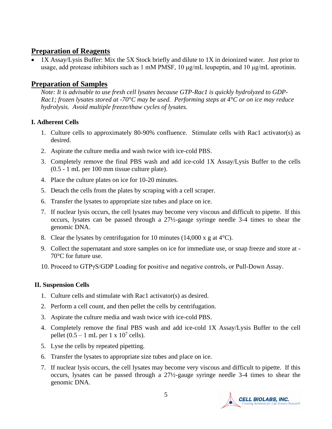# **Preparation of Reagents**

• 1X Assay/Lysis Buffer: Mix the 5X Stock briefly and dilute to 1X in deionized water. Just prior to usage, add protease inhibitors such as 1 mM PMSF, 10 μg/mL leupeptin, and 10 μg/mL aprotinin.

# **Preparation of Samples**

*Note: It is advisable to use fresh cell lysates because GTP-Rac1 is quickly hydrolyzed to GDP-Rac1; frozen lysates stored at -70°C may be used. Performing steps at 4°C or on ice may reduce hydrolysis. Avoid multiple freeze/thaw cycles of lysates.* 

#### **I. Adherent Cells**

- 1. Culture cells to approximately 80-90% confluence. Stimulate cells with Rac1 activator(s) as desired.
- 2. Aspirate the culture media and wash twice with ice-cold PBS.
- 3. Completely remove the final PBS wash and add ice-cold 1X Assay/Lysis Buffer to the cells (0.5 - 1 mL per 100 mm tissue culture plate).
- 4. Place the culture plates on ice for 10-20 minutes.
- 5. Detach the cells from the plates by scraping with a cell scraper.
- 6. Transfer the lysates to appropriate size tubes and place on ice.
- 7. If nuclear lysis occurs, the cell lysates may become very viscous and difficult to pipette. If this occurs, lysates can be passed through a 27½-gauge syringe needle 3-4 times to shear the genomic DNA.
- 8. Clear the lysates by centrifugation for 10 minutes (14,000 x g at  $4^{\circ}$ C).
- 9. Collect the supernatant and store samples on ice for immediate use, or snap freeze and store at 70°C for future use.
- 10. Proceed to GTPγS/GDP Loading for positive and negative controls, or Pull-Down Assay.

#### **II. Suspension Cells**

- 1. Culture cells and stimulate with Rac1 activator(s) as desired.
- 2. Perform a cell count, and then pellet the cells by centrifugation.
- 3. Aspirate the culture media and wash twice with ice-cold PBS.
- 4. Completely remove the final PBS wash and add ice-cold 1X Assay/Lysis Buffer to the cell pellet  $(0.5 - 1$  mL per  $1 \times 10^7$  cells).
- 5. Lyse the cells by repeated pipetting.
- 6. Transfer the lysates to appropriate size tubes and place on ice.
- 7. If nuclear lysis occurs, the cell lysates may become very viscous and difficult to pipette. If this occurs, lysates can be passed through a 27½-gauge syringe needle 3-4 times to shear the genomic DNA.

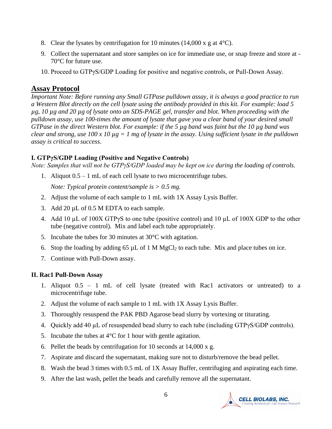- 8. Clear the lysates by centrifugation for 10 minutes (14,000 x g at  $4^{\circ}$ C).
- 9. Collect the supernatant and store samples on ice for immediate use, or snap freeze and store at 70°C for future use.
- 10. Proceed to GTPγS/GDP Loading for positive and negative controls, or Pull-Down Assay.

## **Assay Protocol**

*Important Note: Before running any Small GTPase pulldown assay, it is always a good practice to run a Western Blot directly on the cell lysate using the antibody provided in this kit. For example: load 5 µg, 10 µg and 20 µg of lysate onto an SDS-PAGE gel, transfer and blot. When proceeding with the pulldown assay, use 100-times the amount of lysate that gave you a clear band of your desired small GTPase in the direct Western blot. For example: if the 5 µg band was faint but the 10 µg band was clear and strong, use 100 x 10 µg = 1 mg of lysate in the assay. Using sufficient lysate in the pulldown assay is critical to success.*

#### **I. GTPγS/GDP Loading (Positive and Negative Controls)**

*Note: Samples that will not be GTPγS/GDP loaded may be kept on ice during the loading of controls.*

1. Aliquot 0.5 – 1 mL of each cell lysate to two microcentrifuge tubes.

*Note: Typical protein content/sample is > 0.5 mg.* 

- 2. Adjust the volume of each sample to 1 mL with 1X Assay Lysis Buffer.
- 3. Add 20  $\mu$ L of 0.5 M EDTA to each sample.
- 4. Add 10 µL of 100X GTPγS to one tube (positive control) and 10 µL of 100X GDP to the other tube (negative control). Mix and label each tube appropriately.
- 5. Incubate the tubes for 30 minutes at 30°C with agitation.
- 6. Stop the loading by adding 65  $\mu$ L of 1 M MgCl<sub>2</sub> to each tube. Mix and place tubes on ice.
- 7. Continue with Pull-Down assay.

## **II. Rac1 Pull-Down Assay**

- 1. Aliquot 0.5 1 mL of cell lysate (treated with Rac1 activators or untreated) to a microcentrifuge tube.
- 2. Adjust the volume of each sample to 1 mL with 1X Assay Lysis Buffer.
- 3. Thoroughly resuspend the PAK PBD Agarose bead slurry by vortexing or titurating.
- 4. Quickly add 40  $\mu$ L of resuspended bead slurry to each tube (including GTP $\gamma$ S/GDP controls).
- 5. Incubate the tubes at  $4^{\circ}$ C for 1 hour with gentle agitation.
- 6. Pellet the beads by centrifugation for 10 seconds at 14,000 x g.
- 7. Aspirate and discard the supernatant, making sure not to disturb/remove the bead pellet.
- 8. Wash the bead 3 times with 0.5 mL of 1X Assay Buffer, centrifuging and aspirating each time.
- 9. After the last wash, pellet the beads and carefully remove all the supernatant.

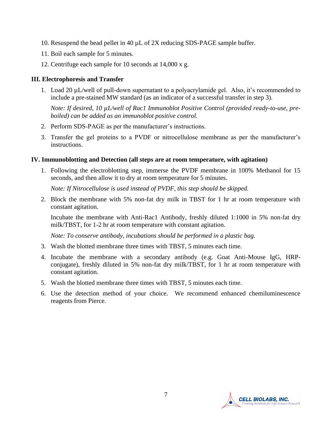- 10. Resuspend the bead pellet in 40 µL of 2X reducing SDS-PAGE sample buffer.
- 11. Boil each sample for 5 minutes.
- 12. Centrifuge each sample for 10 seconds at 14,000 x g.

#### **III. Electrophoresis and Transfer**

1. Load 20 µL/well of pull-down supernatant to a polyacrylamide gel. Also, it's recommended to include a pre-stained MW standard (as an indicator of a successful transfer in step 3).

*Note: If desired, 10 µL/well of Rac1 Immunoblot Positive Control (provided ready-to-use, preboiled) can be added as an immunoblot positive control.* 

- 2. Perform SDS-PAGE as per the manufacturer's instructions.
- 3. Transfer the gel proteins to a PVDF or nitrocellulose membrane as per the manufacturer's instructions.

#### **IV. Immunoblotting and Detection (all steps are at room temperature, with agitation)**

1. Following the electroblotting step, immerse the PVDF membrane in 100% Methanol for 15 seconds, and then allow it to dry at room temperature for 5 minutes.

*Note: If Nitrocellulose is used instead of PVDF, this step should be skipped.*

2. Block the membrane with 5% non-fat dry milk in TBST for 1 hr at room temperature with constant agitation.

Incubate the membrane with Anti-Rac1 Antibody, freshly diluted 1:1000 in 5% non-fat dry milk/TBST, for 1-2 hr at room temperature with constant agitation.

*Note: To conserve antibody, incubations should be performed in a plastic bag.*

- 3. Wash the blotted membrane three times with TBST, 5 minutes each time.
- 4. Incubate the membrane with a secondary antibody (e.g. Goat Anti-Mouse IgG, HRPconjugate), freshly diluted in 5% non-fat dry milk/TBST, for 1 hr at room temperature with constant agitation.
- 5. Wash the blotted membrane three times with TBST, 5 minutes each time.
- 6. Use the detection method of your choice. We recommend enhanced chemiluminescence reagents from Pierce.

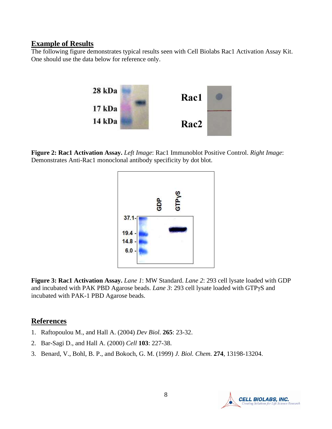#### **Example of Results**

The following figure demonstrates typical results seen with Cell Biolabs Rac1 Activation Assay Kit. One should use the data below for reference only.



**Figure 2: Rac1 Activation Assay.** *Left Image*: Rac1 Immunoblot Positive Control. *Right Image*: Demonstrates Anti-Rac1 monoclonal antibody specificity by dot blot.



**Figure 3: Rac1 Activation Assay.** *Lane 1*: MW Standard. *Lane 2*: 293 cell lysate loaded with GDP and incubated with PAK PBD Agarose beads. *Lane 3*: 293 cell lysate loaded with GTPγS and incubated with PAK-1 PBD Agarose beads.

#### **References**

- 1. [Raftopoulou M.](http://www.ncbi.nlm.nih.gov/entrez/query.fcgi?db=pubmed&cmd=Search&term=%22Raftopoulou+M%22%5BAuthor%5D), and [Hall A.](http://www.ncbi.nlm.nih.gov/entrez/query.fcgi?db=pubmed&cmd=Search&term=%22Hall+A%22%5BAuthor%5D) (2004) *Dev Biol.* **265**: 23-32.
- 2. [Bar-Sagi D.](http://www.ncbi.nlm.nih.gov/entrez/query.fcgi?db=pubmed&cmd=Search&term=%22Bar%2DSagi+D%22%5BAuthor%5D), and [Hall A.](http://www.ncbi.nlm.nih.gov/entrez/query.fcgi?db=pubmed&cmd=Search&term=%22Hall+A%22%5BAuthor%5D) (2000) *Cell* **103**: 227-38.
- 3. Benard, V., Bohl, B. P., and Bokoch, G. M. (1999) *J. Biol. Chem.* **274**, 13198-13204.

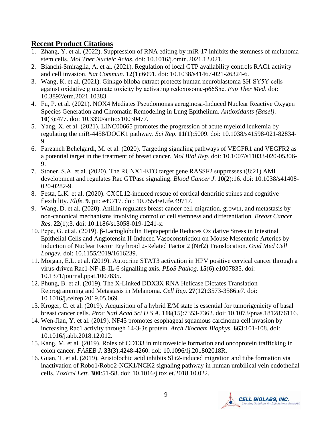# **Recent Product Citations**

- 1. Zhang, Y. et al. (2022). Suppression of RNA editing by miR-17 inhibits the stemness of melanoma stem cells. *Mol Ther Nucleic Acids*. doi: 10.1016/j.omtn.2021.12.021.
- 2. Bianchi-Smiraglia, A. et al. (2021). Regulation of local GTP availability controls RAC1 activity and cell invasion. *Nat Commun*. **12**(1):6091. doi: 10.1038/s41467-021-26324-6.
- 3. Wang, K. et al. (2021). Ginkgo biloba extract protects human neuroblastoma SH‑SY5Y cells against oxidative glutamate toxicity by activating redoxosome‑p66Shc. *Exp Ther Med*. doi: 10.3892/etm.2021.10383.
- 4. Fu, P. et al. (2021). NOX4 Mediates Pseudomonas aeruginosa-Induced Nuclear Reactive Oxygen Species Generation and Chromatin Remodeling in Lung Epithelium. *Antioxidants (Basel)*. **10**(3):477. doi: 10.3390/antiox10030477.
- 5. Yang, X. et al. (2021). LINC00665 promotes the progression of acute myeloid leukemia by regulating the miR-4458/DOCK1 pathway. *Sci Rep*. **11**(1):5009. doi: 10.1038/s41598-021-82834- 9.
- 6. Farzaneh Behelgardi, M. et al. (2020). Targeting signaling pathways of VEGFR1 and VEGFR2 as a potential target in the treatment of breast cancer. *Mol Biol Rep*. doi: 10.1007/s11033-020-05306- 9.
- 7. Stoner, S.A. et al. (2020). The RUNX1-ETO target gene RASSF2 suppresses t(8;21) AML development and regulates Rac GTPase signaling. *Blood Cancer J*. **10**(2):16. doi: 10.1038/s41408- 020-0282-9.
- 8. Festa, L.K. et al. (2020). CXCL12-induced rescue of cortical dendritic spines and cognitive flexibility. *Elife*. **9**. pii: e49717. doi: 10.7554/eLife.49717.
- 9. Wang, D. et al. (2020). Anillin regulates breast cancer cell migration, growth, and metastasis by non-canonical mechanisms involving control of cell stemness and differentiation. *Breast Cancer Res*. **22**(1):3. doi: 10.1186/s13058-019-1241-x.
- 10. Pepe, G. et al. (2019). β-Lactoglobulin Heptapeptide Reduces Oxidative Stress in Intestinal Epithelial Cells and Angiotensin II-Induced Vasoconstriction on Mouse Mesenteric Arteries by Induction of Nuclear Factor Erythroid 2-Related Factor 2 (Nrf2) Translocation. *Oxid Med Cell Longev.* doi: 10.1155/2019/1616239.
- 11. Morgan, E.L. et al. (2019). Autocrine STAT3 activation in HPV positive cervical cancer through a virus-driven Rac1-NFκB-IL-6 signalling axis. *PLoS Pathog*. **15**(6):e1007835. doi: 10.1371/journal.ppat.1007835.
- 12. Phung, B. et al. (2019). The X-Linked DDX3X RNA Helicase Dictates Translation Reprogramming and Metastasis in Melanoma. *Cell Rep*. **27**(12):3573-3586.e7. doi: 10.1016/j.celrep.2019.05.069.
- 13. Kröger, C. et al. (2019). Acquisition of a hybrid E/M state is essential for tumorigenicity of basal breast cancer cells. *Proc Natl Acad Sci U S A*. **116**(15):7353-7362. doi: 10.1073/pnas.1812876116.
- 14. Wen-Jian, Y. et al. (2019). NF45 promotes esophageal squamous carcinoma cell invasion by increasing Rac1 activity through 14-3-3ε protein. *Arch Biochem Biophys*. **663**:101-108. doi: 10.1016/j.abb.2018.12.012.
- 15. Kang, M. et al. (2019). Roles of CD133 in microvesicle formation and oncoprotein trafficking in colon cancer. *FASEB J*. **33**(3):4248-4260. doi: 10.1096/fj.201802018R.
- 16. Guan, T. et al. (2019). Aristolochic acid inhibits Slit2-induced migration and tube formation via inactivation of Robo1/Robo2-NCK1/NCK2 signaling pathway in human umbilical vein endothelial cells. *Toxicol Lett*. **300**:51-58. doi: 10.1016/j.toxlet.2018.10.022.

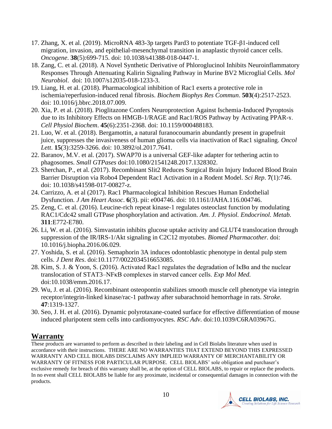- 17. Zhang, X. et al. (2019). MicroRNA 483-3p targets Pard3 to potentiate TGF-β1-induced cell migration, invasion, and epithelial-mesenchymal transition in anaplastic thyroid cancer cells. *Oncogene*. **38**(5):699-715. doi: 10.1038/s41388-018-0447-1.
- 18. Zang, C. et al. (2018). A Novel Synthetic Derivative of Phloroglucinol Inhibits Neuroinflammatory Responses Through Attenuating Kalirin Signaling Pathway in Murine BV2 Microglial Cells. *Mol Neurobiol*. doi: 10.1007/s12035-018-1233-3.
- 19. Liang, H. et al. (2018). Pharmacological inhibition of Rac1 exerts a protective role in ischemia/reperfusion-induced renal fibrosis. *Biochem Biophys Res Commun*. **503**(4):2517-2523. doi: 10.1016/j.bbrc.2018.07.009.
- 20. Xia, P. et al. (2018). Pioglitazone Confers Neuroprotection Against Ischemia-Induced Pyroptosis due to its Inhibitory Effects on HMGB-1/RAGE and Rac1/ROS Pathway by Activating PPAR-ɤ. *Cell Physiol Biochem*. **45**(6):2351-2368. doi: 10.1159/000488183.
- 21. Luo, W. et al. (2018). Bergamottin, a natural furanocoumarin abundantly present in grapefruit juice, suppresses the invasiveness of human glioma cells via inactivation of Rac1 signaling. *Oncol Lett*. **15**(3):3259-3266. doi: 10.3892/ol.2017.7641.
- 22. Baranov, M.V. et al. (2017). SWAP70 is a universal GEF-like adapter for tethering actin to phagosomes. *Small GTPases* doi:10.1080/21541248.2017.1328302.
- 23. Sherchan, P., et al. (2017). Recombinant Slit2 Reduces Surgical Brain Injury Induced Blood Brain Barrier Disruption via Robo4 Dependent Rac1 Activation in a Rodent Model. *Sci Rep*. **7**(1):746. doi: 10.1038/s41598-017-00827-z.
- 24. Carrizzo, A. et al (2017). Rac1 Pharmacological Inhibition Rescues Human Endothelial Dysfunction. *J Am Heart Assoc*. **6**(3). pii: e004746. doi: 10.1161/JAHA.116.004746.
- 25. Zeng, C. et al. (2016). Leucine-rich repeat kinase-1 regulates osteoclast function by modulating RAC1/Cdc42 small GTPase phosphorylation and activation. *Am. J. Physiol. Endocrinol. Metab.* **311**:E772-E780.
- 26. Li, W. et al. (2016). Simvastatin inhibits glucose uptake activity and GLUT4 translocation through suppression of the IR/IRS-1/Akt signaling in C2C12 myotubes. *Biomed Pharmacother.* doi: 10.1016/j.biopha.2016.06.029.
- 27. Yoshida, S. et al. (2016). Semaphorin 3A induces odontoblastic phenotype in dental pulp stem cells. *J Dent Res*. doi:10.1177/0022034516653085.
- 28. Kim, S. J. & Yoon, S. (2016). Activated Rac1 regulates the degradation of IκBα and the nuclear translocation of STAT3–NFκB complexes in starved cancer cells. *Exp Mol Med.* doi:10.1038/emm.2016.17.
- 29. Wu, J. et al. (2016). Recombinant osteopontin stabilizes smooth muscle cell phenotype via integrin receptor/integrin-linked kinase/rac-1 pathway after subarachnoid hemorrhage in rats. *Stroke.* **47**:1319-1327.
- 30. Seo, J. H. et al. (2016). Dynamic polyrotaxane-coated surface for effective differentiation of mouse induced pluripotent stem cells into cardiomyocytes. *RSC Adv*. doi:10.1039/C6RA03967G.

# **Warranty**

These products are warranted to perform as described in their labeling and in Cell Biolabs literature when used in accordance with their instructions. THERE ARE NO WARRANTIES THAT EXTEND BEYOND THIS EXPRESSED WARRANTY AND CELL BIOLABS DISCLAIMS ANY IMPLIED WARRANTY OF MERCHANTABILITY OR WARRANTY OF FITNESS FOR PARTICULAR PURPOSE. CELL BIOLABS' sole obligation and purchaser's exclusive remedy for breach of this warranty shall be, at the option of CELL BIOLABS, to repair or replace the products. In no event shall CELL BIOLABS be liable for any proximate, incidental or consequential damages in connection with the products.